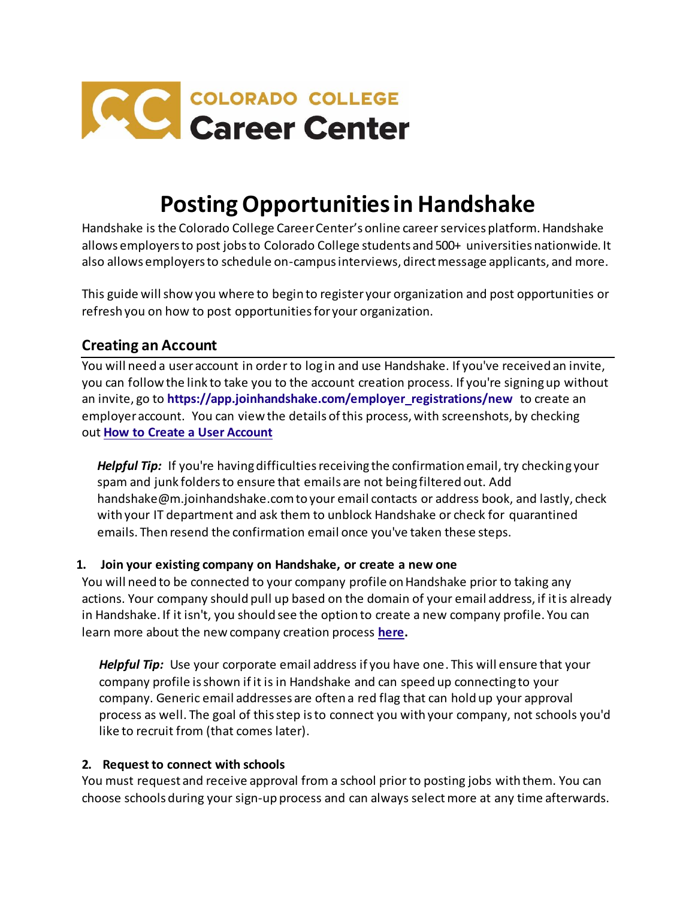

# **Posting Opportunities in Handshake**

Handshake is the Colorado College Career Center's online career services platform. Handshake allows employers to post jobs to Colorado College students and 500+ universities nationwide. It also allows employers to schedule on-campus interviews, direct message applicants, and more.

This guide will show you where to begin to register your organization and post opportunities or refresh you on how to post opportunities for your organization.

# **Creating an Account**

You will need a user account in order to log in and use Handshake. If you've received an invite, you can follow the link to take you to the account creation process. If you're signing up without an invite, go to **[https://app.joinhandshake.com/employer\\_registrations/new](https://app.joinhandshake.com/employer_registrations/new)** to create an employer account. You can view the details of this process, with screenshots, by checking out **[How to Create a User Account](https://support.joinhandshake.com/hc/en-us/articles/219133047-How-do-I-create-a-user-account-and-join-an-existing-company-)**

*Helpful Tip:* If you're having difficulties receiving the confirmation email, try checking your spam and junk folders to ensure that emails are not being filtered out. Add handshake@m.joinhandshake.com to your email contacts or address book, and lastly, check with your IT department and ask them to unblock Handshake or check for quarantined emails. Then resend the confirmation email once you've taken these steps.

#### **1. Join your existing company on Handshake, or create a new one**

You will need to be connected to your company profile on Handshake prior to taking any actions. Your company should pull up based on the domain of your email address, if it is already in Handshake. If it isn't, you should see the option to create a new company profile. You can learn more about the new company creation process **[here.](https://support.joinhandshake.com/hc/en-us/articles/219133057-How-do-I-create-a-company-profile-)**

*Helpful Tip:* Use your corporate email address if you have one. This will ensure that your company profile is shown if it is in Handshake and can speed up connecting to your company. Generic email addresses are often a red flag that can hold up your approval process as well. The goal of this step is to connect you with your company, not schools you'd like to recruit from (that comes later).

#### **2. Request to connect with schools**

You must request and receive approval from a school prior to posting jobs with them. You can choose schools during your sign-up process and can always selectmore at any time afterwards.